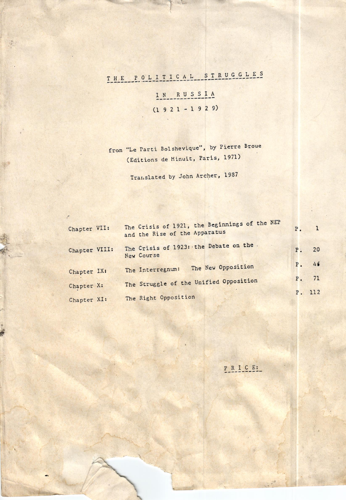## THE POLITICAL STRUGGLES

激

IN RUSSIA  $(1 9 2 1 - 1 9 2 9)$ 

from "Le Parti Bolshevique", by Pierre Broue (Editions de Minuit, Paris, 1971)

Translated by John Archer, 1987

| Chapter VII:  | The Crisis of 1921, the Beginnings of the NEP<br>and the Rise of the Apparatus | P <sub>1</sub> | $\mathbf{1}$ |
|---------------|--------------------------------------------------------------------------------|----------------|--------------|
| Chapter VIII: | The Crisis of 1923: the Debate on the.<br>New Course                           | P: 20          |              |
| Chapter IX:   | The New Opposition<br>The Interregnum:                                         | P. 46          |              |
| Chapter X:    | The Struggle of the Unified Opposition                                         | P. 71          |              |
| Chapter XI:   | The Right Opposition                                                           | P. 112         |              |

PRICE: